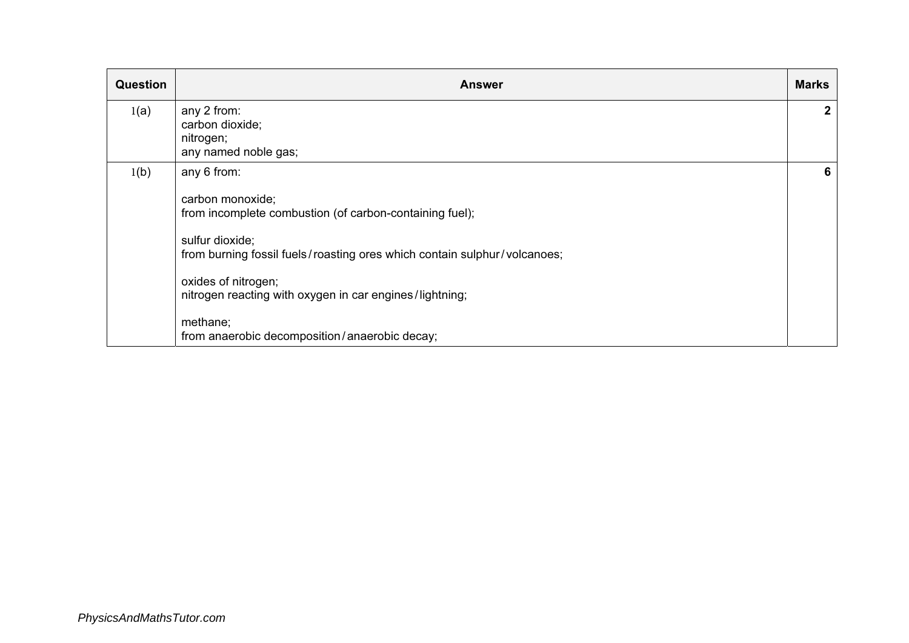| <b>Question</b> | <b>Answer</b>                                                                                                                                                                                                                                                                                                                            | <b>Marks</b> |
|-----------------|------------------------------------------------------------------------------------------------------------------------------------------------------------------------------------------------------------------------------------------------------------------------------------------------------------------------------------------|--------------|
| 1(a)            | any 2 from:<br>carbon dioxide;<br>nitrogen;<br>any named noble gas;                                                                                                                                                                                                                                                                      | $\mathbf{2}$ |
| 1(b)            | any 6 from:<br>carbon monoxide;<br>from incomplete combustion (of carbon-containing fuel);<br>sulfur dioxide;<br>from burning fossil fuels/roasting ores which contain sulphur/volcanoes;<br>oxides of nitrogen;<br>nitrogen reacting with oxygen in car engines/lightning;<br>methane;<br>from anaerobic decomposition/anaerobic decay; | 6            |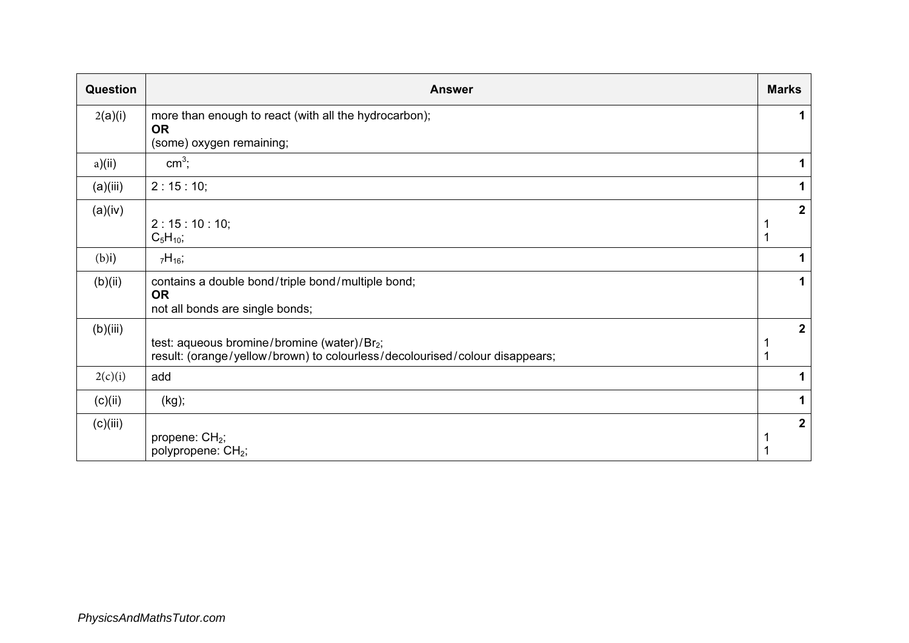| Question | <b>Answer</b>                                                                                                                          | <b>Marks</b> |                |
|----------|----------------------------------------------------------------------------------------------------------------------------------------|--------------|----------------|
| 2(a)(i)  | more than enough to react (with all the hydrocarbon);<br><b>OR</b>                                                                     |              | 1              |
|          | (some) oxygen remaining;                                                                                                               |              |                |
| a)(ii)   | $cm3$ ;                                                                                                                                |              | 1              |
| (a)(iii) | 2:15:10;                                                                                                                               |              | 1              |
| (a)(iv)  | 2:15:10:10;<br>$C_5H_{10}$ ;                                                                                                           |              | $\mathbf{2}$   |
| $(b)$ i) | $7H_{16}$ ;                                                                                                                            |              |                |
| (b)(ii)  | contains a double bond/triple bond/multiple bond;<br><b>OR</b><br>not all bonds are single bonds;                                      |              | 1              |
| (b)(iii) | test: aqueous bromine/bromine (water)/Br <sub>2</sub> ;<br>result: (orange/yellow/brown) to colourless/decolourised/colour disappears; |              | $\mathbf{2}$   |
| 2(c)(i)  | add                                                                                                                                    |              | 1              |
| (c)(ii)  | (kg);                                                                                                                                  |              | 1              |
| (c)(iii) | propene: CH <sub>2</sub> ;<br>polypropene: CH <sub>2</sub> ;                                                                           |              | $\overline{2}$ |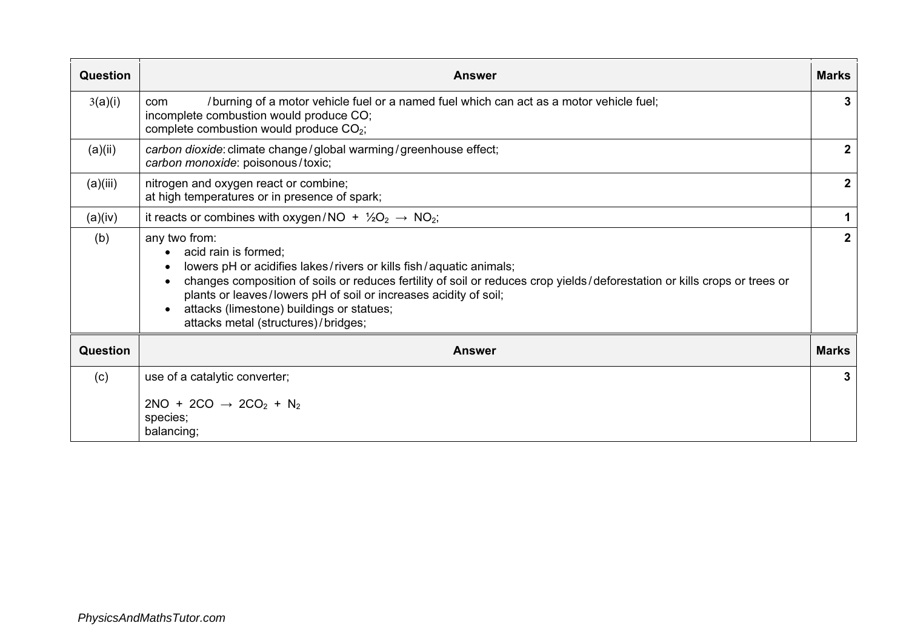| Question | <b>Answer</b>                                                                                                                                                                                                                                                                                                                                                                                                                                        | <b>Marks</b> |  |  |  |
|----------|------------------------------------------------------------------------------------------------------------------------------------------------------------------------------------------------------------------------------------------------------------------------------------------------------------------------------------------------------------------------------------------------------------------------------------------------------|--------------|--|--|--|
| 3(a)(i)  | /burning of a motor vehicle fuel or a named fuel which can act as a motor vehicle fuel;<br>com<br>incomplete combustion would produce CO;<br>complete combustion would produce CO <sub>2</sub> ;                                                                                                                                                                                                                                                     |              |  |  |  |
| (a)(ii)  | carbon dioxide: climate change / global warming / greenhouse effect;<br>carbon monoxide: poisonous/toxic;                                                                                                                                                                                                                                                                                                                                            | 2            |  |  |  |
| (a)(iii) | nitrogen and oxygen react or combine;<br>at high temperatures or in presence of spark;                                                                                                                                                                                                                                                                                                                                                               | $\mathbf{2}$ |  |  |  |
| (a)(iv)  | it reacts or combines with oxygen/NO + $\frac{1}{2}O_2 \rightarrow NO_2$ ;                                                                                                                                                                                                                                                                                                                                                                           | 1            |  |  |  |
| (b)      | any two from:<br>acid rain is formed;<br>$\bullet$<br>lowers pH or acidifies lakes/rivers or kills fish/aquatic animals;<br>$\bullet$<br>changes composition of soils or reduces fertility of soil or reduces crop yields/deforestation or kills crops or trees or<br>$\bullet$<br>plants or leaves/lowers pH of soil or increases acidity of soil;<br>attacks (limestone) buildings or statues;<br>$\bullet$<br>attacks metal (structures)/bridges; | $\mathbf{2}$ |  |  |  |
| Question | <b>Answer</b>                                                                                                                                                                                                                                                                                                                                                                                                                                        | <b>Marks</b> |  |  |  |
| (c)      | use of a catalytic converter;                                                                                                                                                                                                                                                                                                                                                                                                                        | 3            |  |  |  |
|          | $2NO + 2CO \rightarrow 2CO2 + N2$<br>species;<br>balancing;                                                                                                                                                                                                                                                                                                                                                                                          |              |  |  |  |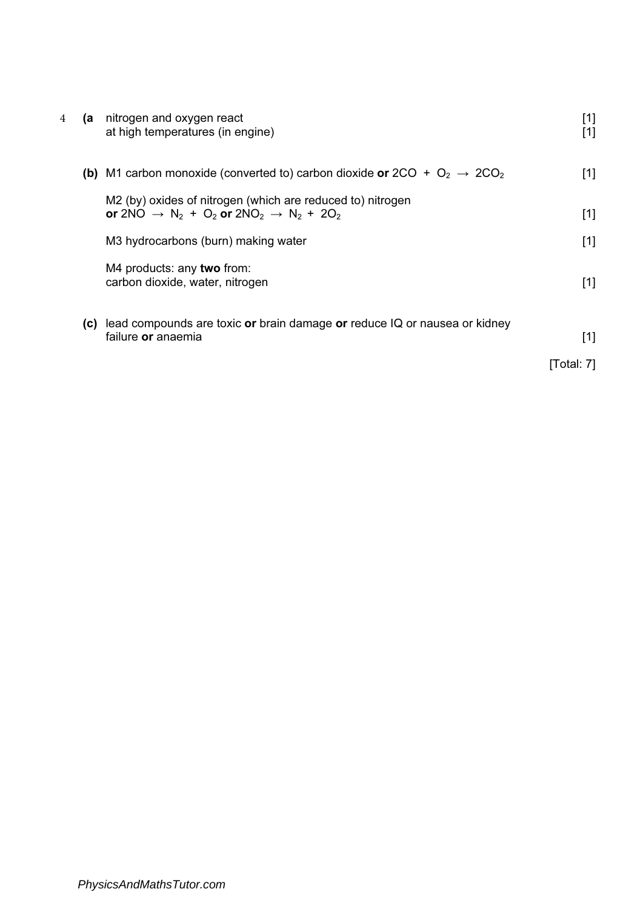| 4<br>(a | nitrogen and oxygen react<br>at high temperatures (in engine)                                                                                                                         | $[1]$<br>[1] |
|---------|---------------------------------------------------------------------------------------------------------------------------------------------------------------------------------------|--------------|
|         | <b>(b)</b> M1 carbon monoxide (converted to) carbon dioxide or 2CO + $O_2 \rightarrow 2CO_2$                                                                                          | $[1]$        |
|         | M2 (by) oxides of nitrogen (which are reduced to) nitrogen<br>or 2NO $\rightarrow$ N <sub>2</sub> + O <sub>2</sub> or 2NO <sub>2</sub> $\rightarrow$ N <sub>2</sub> + 2O <sub>2</sub> | $[1]$        |
|         | M3 hydrocarbons (burn) making water                                                                                                                                                   | $[1]$        |
|         | M4 products: any two from:<br>carbon dioxide, water, nitrogen                                                                                                                         | $[1]$        |
| (C)     | lead compounds are toxic or brain damage or reduce IQ or nausea or kidney<br>failure or anaemia                                                                                       | [1]          |
|         |                                                                                                                                                                                       | [Total: 7]   |